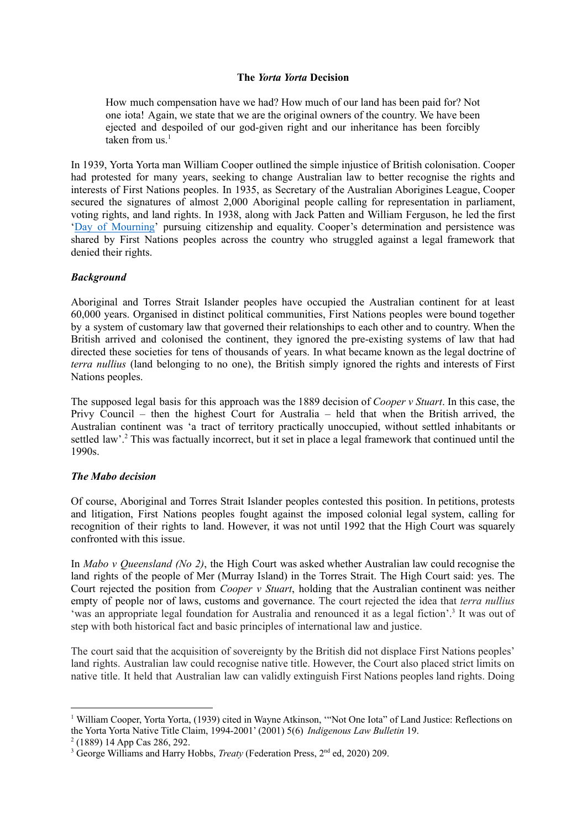### **The** *Yorta Yorta* **Decision**

How much compensation have we had? How much of our land has been paid for? Not one iota! Again, we state that we are the original owners of the country. We have been ejected and despoiled of our god-given right and our inheritance has been forcibly taken from us. 1

In 1939, Yorta Yorta man William Cooper outlined the simple injustice of British colonisation. Cooper had protested for many years, seeking to change Australian law to better recognise the rights and interests of First Nations peoples. In 1935, as Secretary of the Australian Aborigines League, Cooper secured the signatures of almost 2,000 Aboriginal people calling for representation in parliament, voting rights, and land rights. In 1938, along with Jack Patten and William Ferguson, he led the first 'Day of [Mourning](https://aiatsis.gov.au/explore/day-of-mourning)' pursuing citizenship and equality. Cooper's determination and persistence was shared by First Nations peoples across the country who struggled against a legal framework that denied their rights.

## *Background*

Aboriginal and Torres Strait Islander peoples have occupied the Australian continent for at least 60,000 years. Organised in distinct political communities, First Nations peoples were bound together by a system of customary law that governed their relationships to each other and to country. When the British arrived and colonised the continent, they ignored the pre-existing systems of law that had directed these societies for tens of thousands of years. In what became known as the legal doctrine of *terra nullius* (land belonging to no one), the British simply ignored the rights and interests of First Nations peoples.

The supposed legal basis for this approach was the 1889 decision of *Cooper v Stuart*. In this case, the Privy Council – then the highest Court for Australia – held that when the British arrived, the Australian continent was 'a tract of territory practically unoccupied, without settled inhabitants or settled law'.<sup>2</sup> This was factually incorrect, but it set in place a legal framework that continued until the 1990s.

# *The Mabo decision*

Of course, Aboriginal and Torres Strait Islander peoples contested this position. In petitions, protests and litigation, First Nations peoples fought against the imposed colonial legal system, calling for recognition of their rights to land. However, it was not until 1992 that the High Court was squarely confronted with this issue.

In *Mabo v Queensland (No 2)*, the High Court was asked whether Australian law could recognise the land rights of the people of Mer (Murray Island) in the Torres Strait. The High Court said: yes. The Court rejected the position from *Cooper v Stuart*, holding that the Australian continent was neither empty of people nor of laws, customs and governance. The court rejected the idea that *terra nullius* 'was an appropriate legal foundation for Australia and renounced it as a legal fiction'.<sup>3</sup> It was out of step with both historical fact and basic principles of international law and justice.

The court said that the acquisition of sovereignty by the British did not displace First Nations peoples' land rights. Australian law could recognise native title. However, the Court also placed strict limits on native title. It held that Australian law can validly extinguish First Nations peoples land rights. Doing

<sup>&</sup>lt;sup>1</sup> William Cooper, Yorta Yorta, (1939) cited in Wayne Atkinson, "Not One Iota" of Land Justice: Reflections on the Yorta Yorta Native Title Claim, 1994-2001' (2001) 5(6) *Indigenous Law Bulletin* 19.

<sup>2</sup> (1889) 14 App Cas 286, 292.

<sup>&</sup>lt;sup>3</sup> George Williams and Harry Hobbs, *Treaty* (Federation Press, 2<sup>nd</sup> ed, 2020) 209.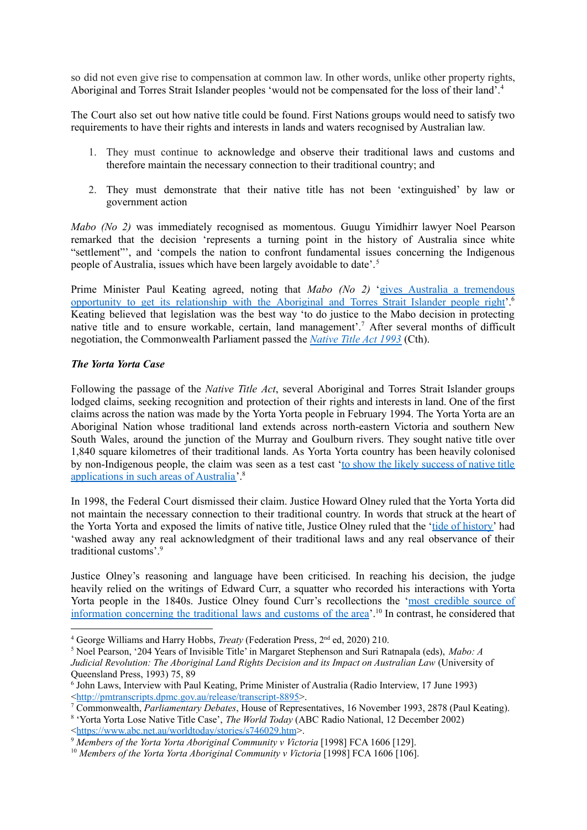so did not even give rise to compensation at common law. In other words, unlike other property rights, Aboriginal and Torres Strait Islander peoples 'would not be compensated for the loss of their land'.<sup>4</sup>

The Court also set out how native title could be found. First Nations groups would need to satisfy two requirements to have their rights and interests in lands and waters recognised by Australian law.

- 1. They must continue to acknowledge and observe their traditional laws and customs and therefore maintain the necessary connection to their traditional country; and
- 2. They must demonstrate that their native title has not been 'extinguished' by law or government action

*Mabo (No 2)* was immediately recognised as momentous. Guugu Yimidhirr lawyer Noel Pearson remarked that the decision 'represents a turning point in the history of Australia since white "settlement"', and 'compels the nation to confront fundamental issues concerning the Indigenous people of Australia, issues which have been largely avoidable to date'. 5

Prime Minister Paul Keating agreed, noting that *Mabo (No 2)* 'gives Australia a [tremendous](http://pmtranscripts.dpmc.gov.au/release/transcript-8895) opportunity to get its [relationship](http://pmtranscripts.dpmc.gov.au/release/transcript-8895) with the Aboriginal and Torres Strait Islander people right'. 6 Keating believed that legislation was the best way 'to do justice to the Mabo decision in protecting native title and to ensure workable, certain, land management'. <sup>7</sup> After several months of difficult negotiation, the Commonwealth Parliament passed the *[Native](https://www.legislation.gov.au/Details/C2017C00178) Title Act 1993* (Cth).

## *The Yorta Yorta Case*

Following the passage of the *Native Title Act*, several Aboriginal and Torres Strait Islander groups lodged claims, seeking recognition and protection of their rights and interests in land. One of the first claims across the nation was made by the Yorta Yorta people in February 1994. The Yorta Yorta are an Aboriginal Nation whose traditional land extends across north-eastern Victoria and southern New South Wales, around the junction of the Murray and Goulburn rivers. They sought native title over 1,840 square kilometres of their traditional lands. As Yorta Yorta country has been heavily colonised by non-Indigenous people, the claim was seen as a test cast 'to show the likely [success](https://www.abc.net.au/worldtoday/stories/s746029.htm) of native title [applications](https://www.abc.net.au/worldtoday/stories/s746029.htm) in such areas of Australia'.<sup>8</sup>

In 1998, the Federal Court dismissed their claim. Justice Howard Olney ruled that the Yorta Yorta did not maintain the necessary connection to their traditional country. In words that struck at the heart of the Yorta Yorta and exposed the limits of native title, Justice Olney ruled that the 'tide of [history'](http://www8.austlii.edu.au/cgi-bin/viewdoc/au/cases/cth/FCA/1998/1606.html) had 'washed away any real acknowledgment of their traditional laws and any real observance of their traditional customs'. 9

Justice Olney's reasoning and language have been criticised. In reaching his decision, the judge heavily relied on the writings of Edward Curr, a squatter who recorded his interactions with Yorta Yorta people in the 1840s. Justice Olney found Curr's recollections the 'most [credible](http://www8.austlii.edu.au/cgi-bin/viewdoc/au/cases/cth/FCA/1998/1606.html) source of [information](http://www8.austlii.edu.au/cgi-bin/viewdoc/au/cases/cth/FCA/1998/1606.html) concerning the traditional laws and customs of the area'.<sup>10</sup> In contrast, he considered that

<sup>&</sup>lt;sup>4</sup> George Williams and Harry Hobbs, *Treaty* (Federation Press, 2<sup>nd</sup> ed, 2020) 210.

<sup>5</sup> Noel Pearson, '204 Years of Invisible Title' in Margaret Stephenson and Suri Ratnapala (eds), *Mabo: A Judicial Revolution: The Aboriginal Land Rights Decision and its Impact on Australian Law* (University of Queensland Press, 1993) 75, 89

<sup>&</sup>lt;sup>6</sup> John Laws, Interview with Paul Keating, Prime Minister of Australia (Radio Interview, 17 June 1993) <[http://pmtranscripts.dpmc.gov.au/release/transcript-8895>](http://pmtranscripts.dpmc.gov.au/release/transcript-8895).

<sup>7</sup> Commonwealth, *Parliamentary Debates*, House of Representatives, 16 November 1993, 2878 (Paul Keating).

<sup>8</sup> 'Yorta Yorta Lose Native Title Case', *The World Today* (ABC Radio National, 12 December 2002) <<https://www.abc.net.au/worldtoday/stories/s746029.htm>>.

<sup>9</sup> *Members of the Yorta Yorta Aboriginal Community v Victoria* [1998] FCA 1606 [129].

<sup>10</sup> *Members of the Yorta Yorta Aboriginal Community v Victoria* [1998] FCA 1606 [106].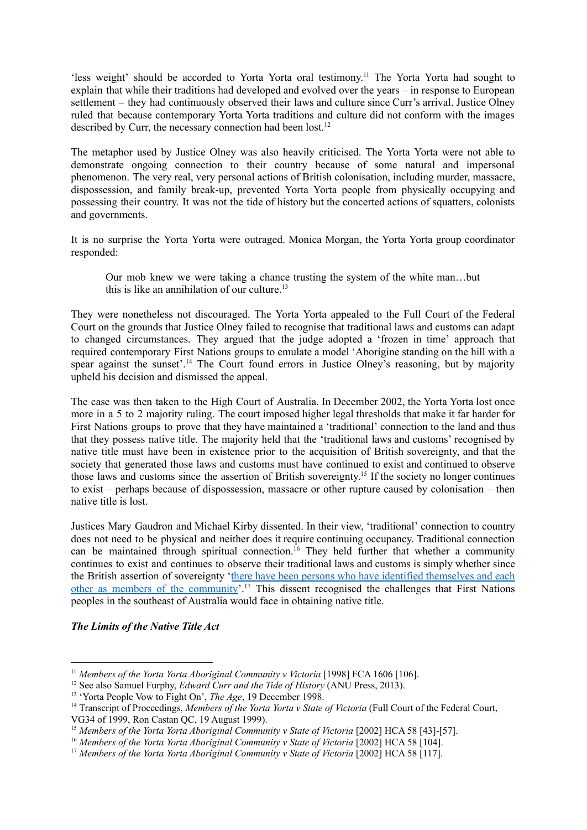'less weight' should be accorded to Yorta Yorta oral testimony.<sup>11</sup> The Yorta Yorta had sought to explain that while their traditions had developed and evolved over the years – in response to European settlement – they had continuously observed their laws and culture since Curr's arrival. Justice Olney ruled that because contemporary Yorta Yorta traditions and culture did not conform with the images described by Curr, the necessary connection had been lost. 12

The metaphor used by Justice Olney was also heavily criticised. The Yorta Yorta were not able to demonstrate ongoing connection to their country because of some natural and impersonal phenomenon. The very real, very personal actions of British colonisation, including murder, massacre, dispossession, and family break-up, prevented Yorta Yorta people from physically occupying and possessing their country. It was not the tide of history but the concerted actions of squatters, colonists and governments.

It is no surprise the Yorta Yorta were outraged. Monica Morgan, the Yorta Yorta group coordinator responded:

Our mob knew we were taking a chance trusting the system of the white man…but this is like an annihilation of our culture. 13

They were nonetheless not discouraged. The Yorta Yorta appealed to the Full Court of the Federal Court on the grounds that Justice Olney failed to recognise that traditional laws and customs can adapt to changed circumstances. They argued that the judge adopted a 'frozen in time' approach that required contemporary First Nations groups to emulate a model 'Aborigine standing on the hill with a spear against the sunset'.<sup>14</sup> The Court found errors in Justice Olney's reasoning, but by majority upheld his decision and dismissed the appeal.

The case was then taken to the High Court of Australia. In December 2002, the Yorta Yorta lost once more in a 5 to 2 majority ruling. The court imposed higher legal thresholds that make it far harder for First Nations groups to prove that they have maintained a 'traditional' connection to the land and thus that they possess native title. The majority held that the 'traditional laws and customs' recognised by native title must have been in existence prior to the acquisition of British sovereignty, and that the society that generated those laws and customs must have continued to exist and continued to observe those laws and customs since the assertion of British sovereignty. 15 If the society no longer continues to exist – perhaps because of dispossession, massacre or other rupture caused by colonisation – then native title is lost.

Justices Mary Gaudron and Michael Kirby dissented. In their view, 'traditional' connection to country does not need to be physical and neither does it require continuing occupancy. Traditional connection can be maintained through spiritual connection.<sup>16</sup> They held further that whether a community continues to exist and continues to observe their traditional laws and customs is simply whether since the British assertion of sovereignty 'there have been persons who have identified [themselves](http://www7.austlii.edu.au/cgi-bin/viewdoc/au/cases/cth/HCA/2002/58.html) and each other as members of the [community'](http://www7.austlii.edu.au/cgi-bin/viewdoc/au/cases/cth/HCA/2002/58.html).<sup>17</sup> This dissent recognised the challenges that First Nations peoples in the southeast of Australia would face in obtaining native title.

#### *The Limits of the Native Title Act*

<sup>11</sup> *Members of the Yorta Yorta Aboriginal Community v Victoria* [1998] FCA 1606 [106].

<sup>12</sup> See also Samuel Furphy, *Edward Curr and the Tide of History* (ANU Press, 2013).

<sup>13</sup> 'Yorta People Vow to Fight On', *The Age*, 19 December 1998.

<sup>14</sup> Transcript of Proceedings, *Members of the Yorta Yorta v State of Victoria* (Full Court of the Federal Court, VG34 of 1999, Ron Castan QC, 19 August 1999).

<sup>15</sup> *Members of the Yorta Yorta Aboriginal Community v State of Victoria* [2002] HCA 58 [43]-[57].

<sup>16</sup> *Members of the Yorta Yorta Aboriginal Community v State of Victoria* [2002] HCA 58 [104].

<sup>17</sup> *Members of the Yorta Yorta Aboriginal Community v State of Victoria* [2002] HCA 58 [117].